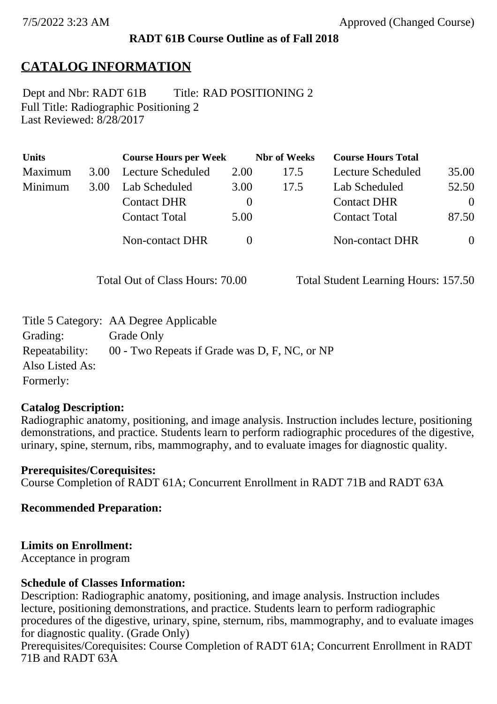#### **RADT 61B Course Outline as of Fall 2018**

# **CATALOG INFORMATION**

Full Title: Radiographic Positioning 2 Last Reviewed: 8/28/2017 Dept and Nbr: RADT 61B Title: RAD POSITIONING 2

| <b>Units</b> |      | <b>Course Hours per Week</b> |          | <b>Nbr</b> of Weeks | <b>Course Hours Total</b> |                |
|--------------|------|------------------------------|----------|---------------------|---------------------------|----------------|
| Maximum      | 3.00 | Lecture Scheduled            | 2.00     | 17.5                | Lecture Scheduled         | 35.00          |
| Minimum      | 3.00 | Lab Scheduled                | 3.00     | 17.5                | Lab Scheduled             | 52.50          |
|              |      | <b>Contact DHR</b>           | $\theta$ |                     | <b>Contact DHR</b>        | $\Omega$       |
|              |      | <b>Contact Total</b>         | 5.00     |                     | <b>Contact Total</b>      | 87.50          |
|              |      | Non-contact DHR              |          |                     | Non-contact DHR           | $\overline{0}$ |

Total Out of Class Hours: 70.00 Total Student Learning Hours: 157.50

|                 | Title 5 Category: AA Degree Applicable        |
|-----------------|-----------------------------------------------|
| Grading:        | Grade Only                                    |
| Repeatability:  | 00 - Two Repeats if Grade was D, F, NC, or NP |
| Also Listed As: |                                               |
| Formerly:       |                                               |

#### **Catalog Description:**

Radiographic anatomy, positioning, and image analysis. Instruction includes lecture, positioning demonstrations, and practice. Students learn to perform radiographic procedures of the digestive, urinary, spine, sternum, ribs, mammography, and to evaluate images for diagnostic quality.

**Prerequisites/Corequisites:** Course Completion of RADT 61A; Concurrent Enrollment in RADT 71B and RADT 63A

**Recommended Preparation:**

#### **Limits on Enrollment:**

Acceptance in program

#### **Schedule of Classes Information:**

Description: Radiographic anatomy, positioning, and image analysis. Instruction includes lecture, positioning demonstrations, and practice. Students learn to perform radiographic procedures of the digestive, urinary, spine, sternum, ribs, mammography, and to evaluate images for diagnostic quality. (Grade Only)

Prerequisites/Corequisites: Course Completion of RADT 61A; Concurrent Enrollment in RADT 71B and RADT 63A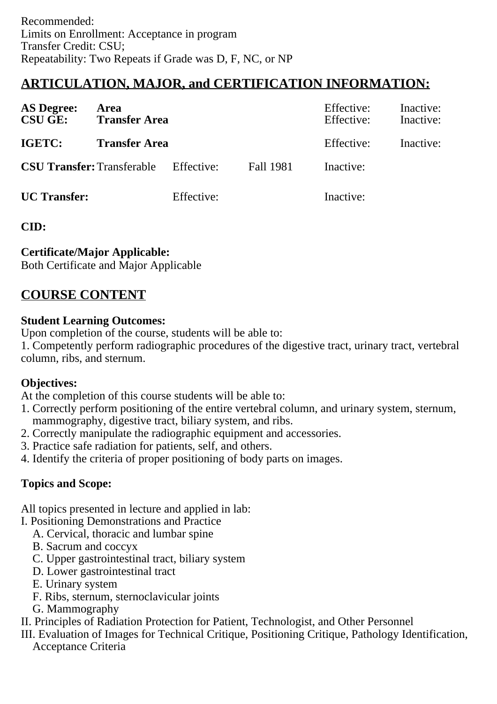# **ARTICULATION, MAJOR, and CERTIFICATION INFORMATION:**

| <b>AS Degree:</b><br><b>CSU GE:</b> | Area<br><b>Transfer Area</b> |            | Effective:<br>Effective: | Inactive:<br>Inactive:<br>Inactive: |  |
|-------------------------------------|------------------------------|------------|--------------------------|-------------------------------------|--|
| IGETC:                              | <b>Transfer Area</b>         |            | Effective:               |                                     |  |
| <b>CSU Transfer: Transferable</b>   |                              | Effective: | Fall 1981                | Inactive:                           |  |
| <b>UC</b> Transfer:                 |                              | Effective: |                          | Inactive:                           |  |

**CID:**

## **Certificate/Major Applicable:**

[Both Certificate and Major Applicable](SR_ClassCheck.aspx?CourseKey=RADT61B)

# **COURSE CONTENT**

#### **Student Learning Outcomes:**

Upon completion of the course, students will be able to:

1. Competently perform radiographic procedures of the digestive tract, urinary tract, vertebral column, ribs, and sternum.

## **Objectives:**

At the completion of this course students will be able to:

- 1. Correctly perform positioning of the entire vertebral column, and urinary system, sternum, mammography, digestive tract, biliary system, and ribs.
- 2. Correctly manipulate the radiographic equipment and accessories.
- 3. Practice safe radiation for patients, self, and others.
- 4. Identify the criteria of proper positioning of body parts on images.

## **Topics and Scope:**

All topics presented in lecture and applied in lab:

- I. Positioning Demonstrations and Practice
	- A. Cervical, thoracic and lumbar spine
	- B. Sacrum and coccyx
	- C. Upper gastrointestinal tract, biliary system
	- D. Lower gastrointestinal tract
	- E. Urinary system
	- F. Ribs, sternum, sternoclavicular joints
	- G. Mammography
- II. Principles of Radiation Protection for Patient, Technologist, and Other Personnel

III. Evaluation of Images for Technical Critique, Positioning Critique, Pathology Identification, Acceptance Criteria